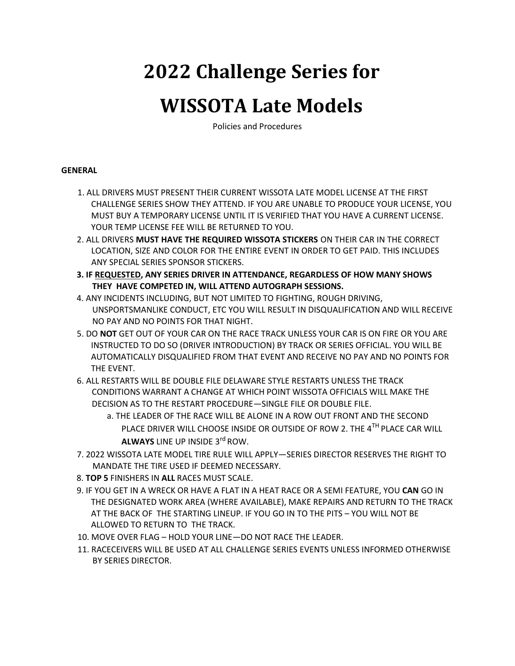# **2022 Challenge Series for**

## **WISSOTA Late Models**

Policies and Procedures

#### **GENERAL**

- 1. ALL DRIVERS MUST PRESENT THEIR CURRENT WISSOTA LATE MODEL LICENSE AT THE FIRST CHALLENGE SERIES SHOW THEY ATTEND. IF YOU ARE UNABLE TO PRODUCE YOUR LICENSE, YOU MUST BUY A TEMPORARY LICENSE UNTIL IT IS VERIFIED THAT YOU HAVE A CURRENT LICENSE. YOUR TEMP LICENSE FEE WILL BE RETURNED TO YOU.
- 2. ALL DRIVERS **MUST HAVE THE REQUIRED WISSOTA STICKERS** ON THEIR CAR IN THE CORRECT LOCATION, SIZE AND COLOR FOR THE ENTIRE EVENT IN ORDER TO GET PAID. THIS INCLUDES ANY SPECIAL SERIES SPONSOR STICKERS.
- **3. IF REQUESTED, ANY SERIES DRIVER IN ATTENDANCE, REGARDLESS OF HOW MANY SHOWS THEY HAVE COMPETED IN, WILL ATTEND AUTOGRAPH SESSIONS.**
- 4. ANY INCIDENTS INCLUDING, BUT NOT LIMITED TO FIGHTING, ROUGH DRIVING, UNSPORTSMANLIKE CONDUCT, ETC YOU WILL RESULT IN DISQUALIFICATION AND WILL RECEIVE NO PAY AND NO POINTS FOR THAT NIGHT.
- 5. DO **NOT** GET OUT OF YOUR CAR ON THE RACE TRACK UNLESS YOUR CAR IS ON FIRE OR YOU ARE INSTRUCTED TO DO SO (DRIVER INTRODUCTION) BY TRACK OR SERIES OFFICIAL. YOU WILL BE AUTOMATICALLY DISQUALIFIED FROM THAT EVENT AND RECEIVE NO PAY AND NO POINTS FOR THE EVENT.
- 6. ALL RESTARTS WILL BE DOUBLE FILE DELAWARE STYLE RESTARTS UNLESS THE TRACK CONDITIONS WARRANT A CHANGE AT WHICH POINT WISSOTA OFFICIALS WILL MAKE THE DECISION AS TO THE RESTART PROCEDURE—SINGLE FILE OR DOUBLE FILE.
	- a. THE LEADER OF THE RACE WILL BE ALONE IN A ROW OUT FRONT AND THE SECOND PLACE DRIVER WILL CHOOSE INSIDE OR OUTSIDE OF ROW 2. THE 4TH PLACE CAR WILL **ALWAYS** LINE UP INSIDE 3rd ROW.
- 7. 2022 WISSOTA LATE MODEL TIRE RULE WILL APPLY—SERIES DIRECTOR RESERVES THE RIGHT TO MANDATE THE TIRE USED IF DEEMED NECESSARY.
- 8. **TOP 5** FINISHERS IN **ALL** RACES MUST SCALE.
- 9. IF YOU GET IN A WRECK OR HAVE A FLAT IN A HEAT RACE OR A SEMI FEATURE, YOU **CAN** GO IN THE DESIGNATED WORK AREA (WHERE AVAILABLE), MAKE REPAIRS AND RETURN TO THE TRACK AT THE BACK OF THE STARTING LINEUP. IF YOU GO IN TO THE PITS – YOU WILL NOT BE ALLOWED TO RETURN TO THE TRACK.
- 10. MOVE OVER FLAG HOLD YOUR LINE—DO NOT RACE THE LEADER.
- 11. RACECEIVERS WILL BE USED AT ALL CHALLENGE SERIES EVENTS UNLESS INFORMED OTHERWISE BY SERIES DIRECTOR.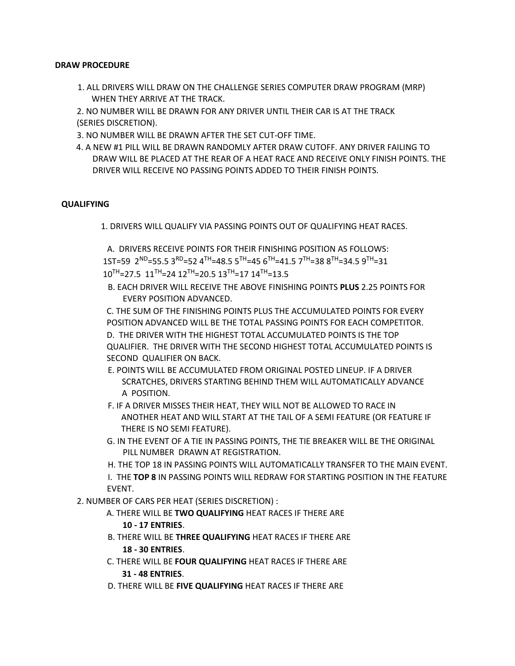#### **DRAW PROCEDURE**

1. ALL DRIVERS WILL DRAW ON THE CHALLENGE SERIES COMPUTER DRAW PROGRAM (MRP) WHEN THEY ARRIVE AT THE TRACK.

2. NO NUMBER WILL BE DRAWN FOR ANY DRIVER UNTIL THEIR CAR IS AT THE TRACK (SERIES DISCRETION).

- 3. NO NUMBER WILL BE DRAWN AFTER THE SET CUT-OFF TIME.
- 4. A NEW #1 PILL WILL BE DRAWN RANDOMLY AFTER DRAW CUTOFF. ANY DRIVER FAILING TO DRAW WILL BE PLACED AT THE REAR OF A HEAT RACE AND RECEIVE ONLY FINISH POINTS. THE DRIVER WILL RECEIVE NO PASSING POINTS ADDED TO THEIR FINISH POINTS.

#### **QUALIFYING**

1. DRIVERS WILL QUALIFY VIA PASSING POINTS OUT OF QUALIFYING HEAT RACES.

A. DRIVERS RECEIVE POINTS FOR THEIR FINISHING POSITION AS FOLLOWS:  $1$ ST=59  $2^{ND}$ =55.5  $3^{RD}$ =52  $4^{TH}$ =48.5  $5^{TH}$ =45  $6^{TH}$ =41.5  $7^{TH}$ =38  $8^{TH}$ =34.5  $9^{TH}$ =31  $10^{TH}$ =27.5  $11^{TH}$ =24  $12^{TH}$ =20.5  $13^{TH}$ =17  $14^{TH}$ =13.5

B. EACH DRIVER WILL RECEIVE THE ABOVE FINISHING POINTS **PLUS** 2.25 POINTS FOR EVERY POSITION ADVANCED.

C. THE SUM OF THE FINISHING POINTS PLUS THE ACCUMULATED POINTS FOR EVERY POSITION ADVANCED WILL BE THE TOTAL PASSING POINTS FOR EACH COMPETITOR.

D. THE DRIVER WITH THE HIGHEST TOTAL ACCUMULATED POINTS IS THE TOP QUALIFIER. THE DRIVER WITH THE SECOND HIGHEST TOTAL ACCUMULATED POINTS IS SECOND QUALIFIER ON BACK.

- E. POINTS WILL BE ACCUMULATED FROM ORIGINAL POSTED LINEUP. IF A DRIVER SCRATCHES, DRIVERS STARTING BEHIND THEM WILL AUTOMATICALLY ADVANCE A POSITION.
- F. IF A DRIVER MISSES THEIR HEAT, THEY WILL NOT BE ALLOWED TO RACE IN ANOTHER HEAT AND WILL START AT THE TAIL OF A SEMI FEATURE (OR FEATURE IF THERE IS NO SEMI FEATURE).
- G. IN THE EVENT OF A TIE IN PASSING POINTS, THE TIE BREAKER WILL BE THE ORIGINAL PILL NUMBER DRAWN AT REGISTRATION.

H. THE TOP 18 IN PASSING POINTS WILL AUTOMATICALLY TRANSFER TO THE MAIN EVENT.

I. THE **TOP 8** IN PASSING POINTS WILL REDRAW FOR STARTING POSITION IN THE FEATURE EVENT.

2. NUMBER OF CARS PER HEAT (SERIES DISCRETION) :

A. THERE WILL BE **TWO QUALIFYING** HEAT RACES IF THERE ARE

#### **10 - 17 ENTRIES**.

- B. THERE WILL BE **THREE QUALIFYING** HEAT RACES IF THERE ARE **18 - 30 ENTRIES**.
- C. THERE WILL BE **FOUR QUALIFYING** HEAT RACES IF THERE ARE **31 - 48 ENTRIES**.
- D. THERE WILL BE **FIVE QUALIFYING** HEAT RACES IF THERE ARE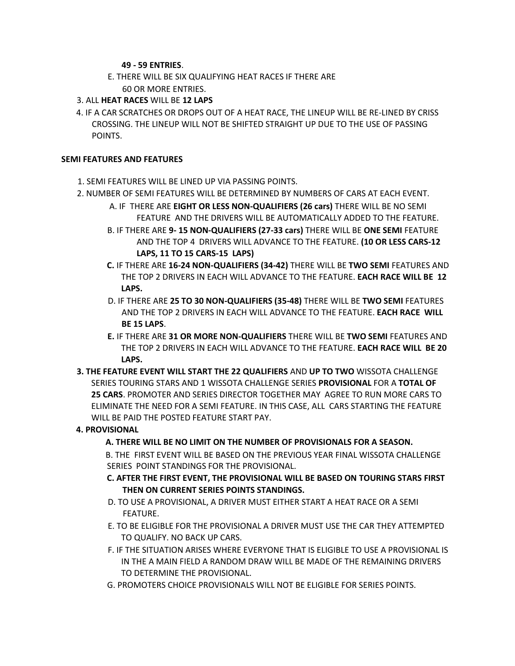#### **49 - 59 ENTRIES**.

- E. THERE WILL BE SIX QUALIFYING HEAT RACES IF THERE ARE 60 OR MORE ENTRIES.
- 3. ALL **HEAT RACES** WILL BE **12 LAPS**
- 4. IF A CAR SCRATCHES OR DROPS OUT OF A HEAT RACE, THE LINEUP WILL BE RE-LINED BY CRISS CROSSING. THE LINEUP WILL NOT BE SHIFTED STRAIGHT UP DUE TO THE USE OF PASSING POINTS.

#### **SEMI FEATURES AND FEATURES**

- 1. SEMI FEATURES WILL BE LINED UP VIA PASSING POINTS.
- 2. NUMBER OF SEMI FEATURES WILL BE DETERMINED BY NUMBERS OF CARS AT EACH EVENT.
	- A. IF THERE ARE **EIGHT OR LESS NON-QUALIFIERS (26 cars)** THERE WILL BE NO SEMI FEATURE AND THE DRIVERS WILL BE AUTOMATICALLY ADDED TO THE FEATURE.
	- B. IF THERE ARE **9- 15 NON-QUALIFIERS (27-33 cars)** THERE WILL BE **ONE SEMI** FEATURE AND THE TOP 4 DRIVERS WILL ADVANCE TO THE FEATURE. **(10 OR LESS CARS-12 LAPS, 11 TO 15 CARS-15 LAPS)**
	- **C.** IF THERE ARE **16-24 NON-QUALIFIERS (34-42)** THERE WILL BE **TWO SEMI** FEATURES AND THE TOP 2 DRIVERS IN EACH WILL ADVANCE TO THE FEATURE. **EACH RACE WILL BE 12 LAPS.**
	- D. IF THERE ARE **25 TO 30 NON-QUALIFIERS (35-48)** THERE WILL BE **TWO SEMI** FEATURES AND THE TOP 2 DRIVERS IN EACH WILL ADVANCE TO THE FEATURE. **EACH RACE WILL BE 15 LAPS**.
	- **E.** IF THERE ARE **31 OR MORE NON-QUALIFIERS** THERE WILL BE **TWO SEMI** FEATURES AND THE TOP 2 DRIVERS IN EACH WILL ADVANCE TO THE FEATURE. **EACH RACE WILL BE 20 LAPS.**
- **3. THE FEATURE EVENT WILL START THE 22 QUALIFIERS** AND **UP TO TWO** WISSOTA CHALLENGE SERIES TOURING STARS AND 1 WISSOTA CHALLENGE SERIES **PROVISIONAL** FOR A **TOTAL OF 25 CARS**. PROMOTER AND SERIES DIRECTOR TOGETHER MAY AGREE TO RUN MORE CARS TO ELIMINATE THE NEED FOR A SEMI FEATURE. IN THIS CASE, ALL CARS STARTING THE FEATURE WILL BE PAID THE POSTED FEATURE START PAY.

#### **4. PROVISIONAL**

**A. THERE WILL BE NO LIMIT ON THE NUMBER OF PROVISIONALS FOR A SEASON.** 

B. THE FIRST EVENT WILL BE BASED ON THE PREVIOUS YEAR FINAL WISSOTA CHALLENGE SERIES POINT STANDINGS FOR THE PROVISIONAL.

- **C. AFTER THE FIRST EVENT, THE PROVISIONAL WILL BE BASED ON TOURING STARS FIRST THEN ON CURRENT SERIES POINTS STANDINGS.**
- D. TO USE A PROVISIONAL, A DRIVER MUST EITHER START A HEAT RACE OR A SEMI FEATURE.
- E. TO BE ELIGIBLE FOR THE PROVISIONAL A DRIVER MUST USE THE CAR THEY ATTEMPTED TO QUALIFY. NO BACK UP CARS.
- F. IF THE SITUATION ARISES WHERE EVERYONE THAT IS ELIGIBLE TO USE A PROVISIONAL IS IN THE A MAIN FIELD A RANDOM DRAW WILL BE MADE OF THE REMAINING DRIVERS TO DETERMINE THE PROVISIONAL.
- G. PROMOTERS CHOICE PROVISIONALS WILL NOT BE ELIGIBLE FOR SERIES POINTS.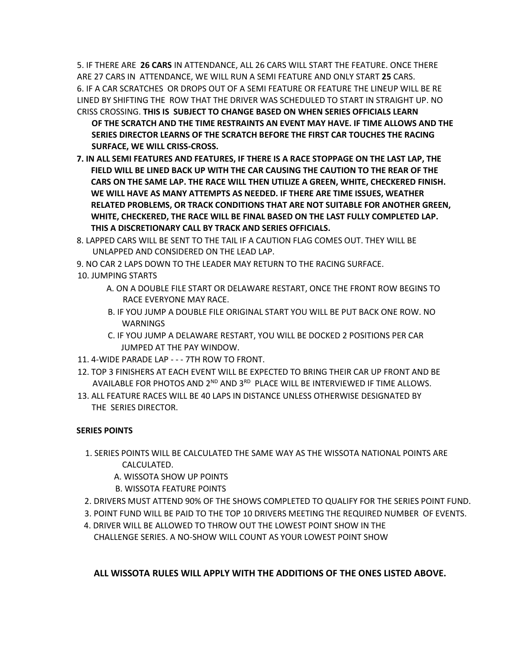5. IF THERE ARE **26 CARS** IN ATTENDANCE, ALL 26 CARS WILL START THE FEATURE. ONCE THERE ARE 27 CARS IN ATTENDANCE, WE WILL RUN A SEMI FEATURE AND ONLY START **25** CARS. 6. IF A CAR SCRATCHES OR DROPS OUT OF A SEMI FEATURE OR FEATURE THE LINEUP WILL BE RE LINED BY SHIFTING THE ROW THAT THE DRIVER WAS SCHEDULED TO START IN STRAIGHT UP. NO CRISS CROSSING. **THIS IS SUBJECT TO CHANGE BASED ON WHEN SERIES OFFICIALS LEARN** 

- **OF THE SCRATCH AND THE TIME RESTRAINTS AN EVENT MAY HAVE. IF TIME ALLOWS AND THE SERIES DIRECTOR LEARNS OF THE SCRATCH BEFORE THE FIRST CAR TOUCHES THE RACING SURFACE, WE WILL CRISS-CROSS.**
- **7. IN ALL SEMI FEATURES AND FEATURES, IF THERE IS A RACE STOPPAGE ON THE LAST LAP, THE FIELD WILL BE LINED BACK UP WITH THE CAR CAUSING THE CAUTION TO THE REAR OF THE CARS ON THE SAME LAP. THE RACE WILL THEN UTILIZE A GREEN, WHITE, CHECKERED FINISH. WE WILL HAVE AS MANY ATTEMPTS AS NEEDED. IF THERE ARE TIME ISSUES, WEATHER RELATED PROBLEMS, OR TRACK CONDITIONS THAT ARE NOT SUITABLE FOR ANOTHER GREEN, WHITE, CHECKERED, THE RACE WILL BE FINAL BASED ON THE LAST FULLY COMPLETED LAP. THIS A DISCRETIONARY CALL BY TRACK AND SERIES OFFICIALS.**
- 8. LAPPED CARS WILL BE SENT TO THE TAIL IF A CAUTION FLAG COMES OUT. THEY WILL BE UNLAPPED AND CONSIDERED ON THE LEAD LAP.
- 9. NO CAR 2 LAPS DOWN TO THE LEADER MAY RETURN TO THE RACING SURFACE.
- 10. JUMPING STARTS
	- A. ON A DOUBLE FILE START OR DELAWARE RESTART, ONCE THE FRONT ROW BEGINS TO RACE EVERYONE MAY RACE.
	- B. IF YOU JUMP A DOUBLE FILE ORIGINAL START YOU WILL BE PUT BACK ONE ROW. NO WARNINGS
	- C. IF YOU JUMP A DELAWARE RESTART, YOU WILL BE DOCKED 2 POSITIONS PER CAR JUMPED AT THE PAY WINDOW.
- 11. 4-WIDE PARADE LAP - 7TH ROW TO FRONT.
- 12. TOP 3 FINISHERS AT EACH EVENT WILL BE EXPECTED TO BRING THEIR CAR UP FRONT AND BE AVAILABLE FOR PHOTOS AND  $2^{ND}$  AND  $3^{RD}$  PLACE WILL BE INTERVIEWED IF TIME ALLOWS.
- 13. ALL FEATURE RACES WILL BE 40 LAPS IN DISTANCE UNLESS OTHERWISE DESIGNATED BY THE SERIES DIRECTOR.

#### **SERIES POINTS**

- 1. SERIES POINTS WILL BE CALCULATED THE SAME WAY AS THE WISSOTA NATIONAL POINTS ARE CALCULATED.
	- A. WISSOTA SHOW UP POINTS
	- B. WISSOTA FEATURE POINTS
- 2. DRIVERS MUST ATTEND 90% OF THE SHOWS COMPLETED TO QUALIFY FOR THE SERIES POINT FUND.
- 3. POINT FUND WILL BE PAID TO THE TOP 10 DRIVERS MEETING THE REQUIRED NUMBER OF EVENTS.
- 4. DRIVER WILL BE ALLOWED TO THROW OUT THE LOWEST POINT SHOW IN THE CHALLENGE SERIES. A NO-SHOW WILL COUNT AS YOUR LOWEST POINT SHOW

#### **ALL WISSOTA RULES WILL APPLY WITH THE ADDITIONS OF THE ONES LISTED ABOVE.**